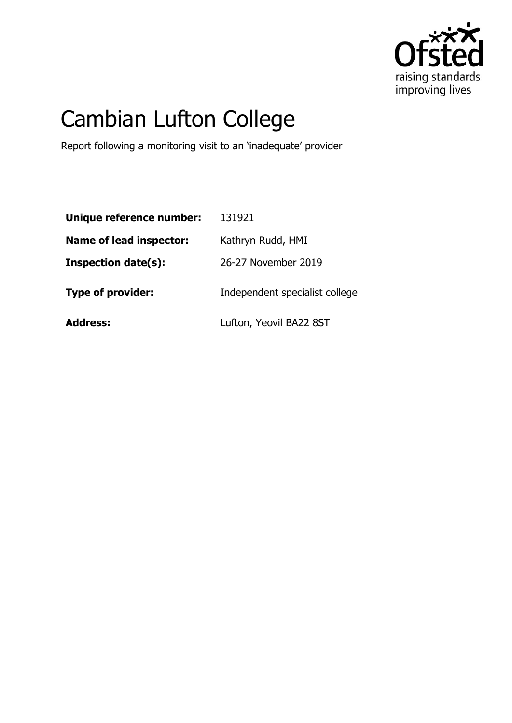

# Cambian Lufton College

Report following a monitoring visit to an 'inadequate' provider

| Unique reference number:       | 131921                         |
|--------------------------------|--------------------------------|
| <b>Name of lead inspector:</b> | Kathryn Rudd, HMI              |
| <b>Inspection date(s):</b>     | 26-27 November 2019            |
| <b>Type of provider:</b>       | Independent specialist college |
| <b>Address:</b>                | Lufton, Yeovil BA22 8ST        |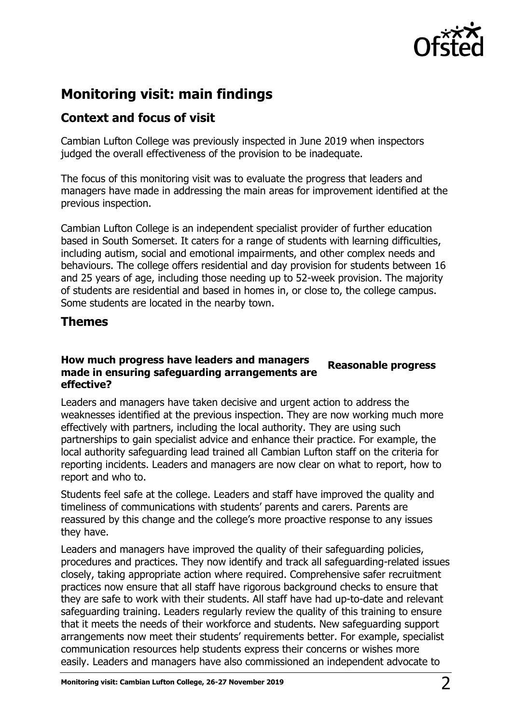

## **Monitoring visit: main findings**

## **Context and focus of visit**

Cambian Lufton College was previously inspected in June 2019 when inspectors judged the overall effectiveness of the provision to be inadequate.

The focus of this monitoring visit was to evaluate the progress that leaders and managers have made in addressing the main areas for improvement identified at the previous inspection.

Cambian Lufton College is an independent specialist provider of further education based in South Somerset. It caters for a range of students with learning difficulties, including autism, social and emotional impairments, and other complex needs and behaviours. The college offers residential and day provision for students between 16 and 25 years of age, including those needing up to 52-week provision. The majority of students are residential and based in homes in, or close to, the college campus. Some students are located in the nearby town.

### **Themes**

#### **How much progress have leaders and managers made in ensuring safeguarding arrangements are effective? Reasonable progress**

Leaders and managers have taken decisive and urgent action to address the weaknesses identified at the previous inspection. They are now working much more effectively with partners, including the local authority. They are using such partnerships to gain specialist advice and enhance their practice. For example, the local authority safeguarding lead trained all Cambian Lufton staff on the criteria for reporting incidents. Leaders and managers are now clear on what to report, how to report and who to.

Students feel safe at the college. Leaders and staff have improved the quality and timeliness of communications with students' parents and carers. Parents are reassured by this change and the college's more proactive response to any issues they have.

Leaders and managers have improved the quality of their safeguarding policies, procedures and practices. They now identify and track all safeguarding-related issues closely, taking appropriate action where required. Comprehensive safer recruitment practices now ensure that all staff have rigorous background checks to ensure that they are safe to work with their students. All staff have had up-to-date and relevant safeguarding training. Leaders regularly review the quality of this training to ensure that it meets the needs of their workforce and students. New safeguarding support arrangements now meet their students' requirements better. For example, specialist communication resources help students express their concerns or wishes more easily. Leaders and managers have also commissioned an independent advocate to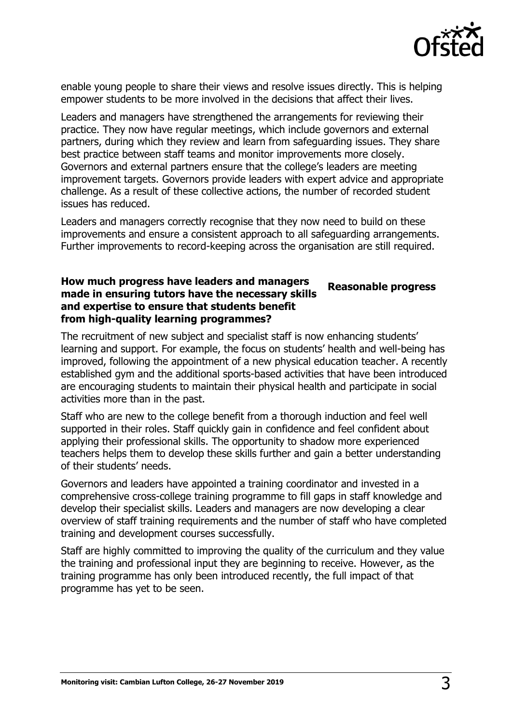

enable young people to share their views and resolve issues directly. This is helping empower students to be more involved in the decisions that affect their lives.

Leaders and managers have strengthened the arrangements for reviewing their practice. They now have regular meetings, which include governors and external partners, during which they review and learn from safeguarding issues. They share best practice between staff teams and monitor improvements more closely. Governors and external partners ensure that the college's leaders are meeting improvement targets. Governors provide leaders with expert advice and appropriate challenge. As a result of these collective actions, the number of recorded student issues has reduced.

Leaders and managers correctly recognise that they now need to build on these improvements and ensure a consistent approach to all safeguarding arrangements. Further improvements to record-keeping across the organisation are still required.

#### **How much progress have leaders and managers made in ensuring tutors have the necessary skills and expertise to ensure that students benefit from high-quality learning programmes? Reasonable progress**

The recruitment of new subject and specialist staff is now enhancing students' learning and support. For example, the focus on students' health and well-being has improved, following the appointment of a new physical education teacher. A recently established gym and the additional sports-based activities that have been introduced are encouraging students to maintain their physical health and participate in social activities more than in the past.

Staff who are new to the college benefit from a thorough induction and feel well supported in their roles. Staff quickly gain in confidence and feel confident about applying their professional skills. The opportunity to shadow more experienced teachers helps them to develop these skills further and gain a better understanding of their students' needs.

Governors and leaders have appointed a training coordinator and invested in a comprehensive cross-college training programme to fill gaps in staff knowledge and develop their specialist skills. Leaders and managers are now developing a clear overview of staff training requirements and the number of staff who have completed training and development courses successfully.

Staff are highly committed to improving the quality of the curriculum and they value the training and professional input they are beginning to receive. However, as the training programme has only been introduced recently, the full impact of that programme has yet to be seen.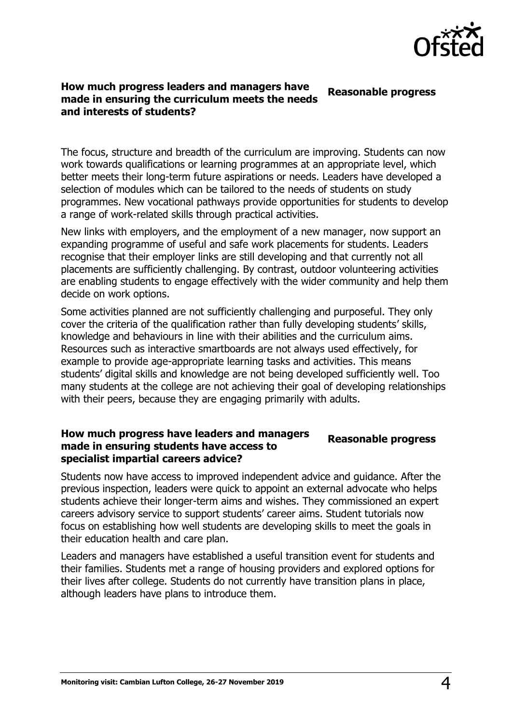

#### **How much progress leaders and managers have made in ensuring the curriculum meets the needs and interests of students? Reasonable progress**

The focus, structure and breadth of the curriculum are improving. Students can now work towards qualifications or learning programmes at an appropriate level, which better meets their long-term future aspirations or needs. Leaders have developed a selection of modules which can be tailored to the needs of students on study programmes. New vocational pathways provide opportunities for students to develop a range of work-related skills through practical activities.

New links with employers, and the employment of a new manager, now support an expanding programme of useful and safe work placements for students. Leaders recognise that their employer links are still developing and that currently not all placements are sufficiently challenging. By contrast, outdoor volunteering activities are enabling students to engage effectively with the wider community and help them decide on work options.

Some activities planned are not sufficiently challenging and purposeful. They only cover the criteria of the qualification rather than fully developing students' skills, knowledge and behaviours in line with their abilities and the curriculum aims. Resources such as interactive smartboards are not always used effectively, for example to provide age-appropriate learning tasks and activities. This means students' digital skills and knowledge are not being developed sufficiently well. Too many students at the college are not achieving their goal of developing relationships with their peers, because they are engaging primarily with adults.

#### **How much progress have leaders and managers made in ensuring students have access to specialist impartial careers advice? Reasonable progress**

Students now have access to improved independent advice and guidance. After the previous inspection, leaders were quick to appoint an external advocate who helps students achieve their longer-term aims and wishes. They commissioned an expert careers advisory service to support students' career aims. Student tutorials now focus on establishing how well students are developing skills to meet the goals in their education health and care plan.

Leaders and managers have established a useful transition event for students and their families. Students met a range of housing providers and explored options for their lives after college. Students do not currently have transition plans in place, although leaders have plans to introduce them.